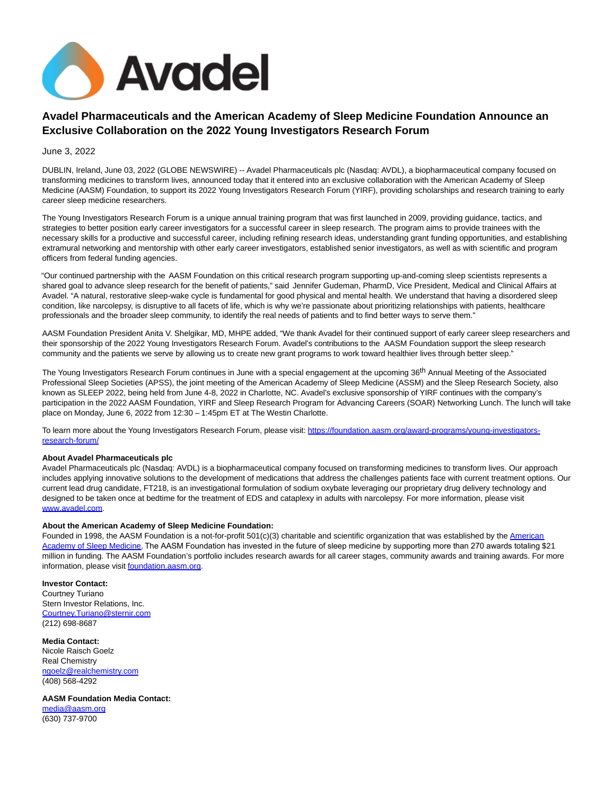

## **Avadel Pharmaceuticals and the American Academy of Sleep Medicine Foundation Announce an Exclusive Collaboration on the 2022 Young Investigators Research Forum**

June 3, 2022

DUBLIN, Ireland, June 03, 2022 (GLOBE NEWSWIRE) -- Avadel Pharmaceuticals plc (Nasdaq: AVDL), a biopharmaceutical company focused on transforming medicines to transform lives, announced today that it entered into an exclusive collaboration with the American Academy of Sleep Medicine (AASM) Foundation, to support its 2022 Young Investigators Research Forum (YIRF), providing scholarships and research training to early career sleep medicine researchers.

The Young Investigators Research Forum is a unique annual training program that was first launched in 2009, providing guidance, tactics, and strategies to better position early career investigators for a successful career in sleep research. The program aims to provide trainees with the necessary skills for a productive and successful career, including refining research ideas, understanding grant funding opportunities, and establishing extramural networking and mentorship with other early career investigators, established senior investigators, as well as with scientific and program officers from federal funding agencies.

"Our continued partnership with the AASM Foundation on this critical research program supporting up-and-coming sleep scientists represents a shared goal to advance sleep research for the benefit of patients," said Jennifer Gudeman, PharmD, Vice President, Medical and Clinical Affairs at Avadel. "A natural, restorative sleep-wake cycle is fundamental for good physical and mental health. We understand that having a disordered sleep condition, like narcolepsy, is disruptive to all facets of life, which is why we're passionate about prioritizing relationships with patients, healthcare professionals and the broader sleep community, to identify the real needs of patients and to find better ways to serve them."

AASM Foundation President Anita V. Shelgikar, MD, MHPE added, "We thank Avadel for their continued support of early career sleep researchers and their sponsorship of the 2022 Young Investigators Research Forum. Avadel's contributions to the AASM Foundation support the sleep research community and the patients we serve by allowing us to create new grant programs to work toward healthier lives through better sleep."

The Young Investigators Research Forum continues in June with a special engagement at the upcoming 36<sup>th</sup> Annual Meeting of the Associated Professional Sleep Societies (APSS), the joint meeting of the American Academy of Sleep Medicine (ASSM) and the Sleep Research Society, also known as SLEEP 2022, being held from June 4-8, 2022 in Charlotte, NC. Avadel's exclusive sponsorship of YIRF continues with the company's participation in the 2022 AASM Foundation, YIRF and Sleep Research Program for Advancing Careers (SOAR) Networking Lunch. The lunch will take place on Monday, June 6, 2022 from 12:30 – 1:45pm ET at The Westin Charlotte.

To learn more about the Young Investigators Research Forum, please visit: [https://foundation.aasm.org/award-programs/young-investigators](https://www.globenewswire.com/Tracker?data=CYG72-fbH-S6cH-jVZdOQv5RC1g-LWqyWgVjTIZFOLn0RgJi_obA9CkOSodCLpLkrzlOxoVUmvoELw6O-Jf2yNCoUzNejLczhkxcUtvFFfkdAbi_d-Wlx3vZqjssPYim86-7bG7mGSnf3_zwLwi1AHQiyUUncjGjn5SQ2gmtgIxuWn-TWX07eVe1NMip749_YJotp2WLC13c6-XlWA-QW-agCo7Z2diijVgWNDrV-nUV_YVj13V8TNVJc56CUeJ2)research-forum/

## **About Avadel Pharmaceuticals plc**

Avadel Pharmaceuticals plc (Nasdaq: AVDL) is a biopharmaceutical company focused on transforming medicines to transform lives. Our approach includes applying innovative solutions to the development of medications that address the challenges patients face with current treatment options. Our current lead drug candidate, FT218, is an investigational formulation of sodium oxybate leveraging our proprietary drug delivery technology and designed to be taken once at bedtime for the treatment of EDS and cataplexy in adults with narcolepsy. For more information, please visit [www.avadel.com.](https://www.globenewswire.com/Tracker?data=6N6PvSqU3ynmh-J7BICxi1KesC76CqXRZ95BpMcpK9qhDzuiuqh6b1dx-YUqTNxfTIU1LPv_E1OxLLl5poO-sQ==)

## **About the American Academy of Sleep Medicine Foundation:**

Founded in 1998, the AASM Foundation is a not-for-profit 501(c)(3) charitable and scientific organization that was established by the [American](https://www.globenewswire.com/Tracker?data=rzcetuDnYu3kM2PtwHmH1M2rzNRrB2JH6SzUV_MtSZWJdbS0K1pVQ4mfjJ58FXo7DVjn4tJy6wlrQzHTNw462mCCPu9RMrBRHI2M0g0HBJc=) Academy of Sleep Medicine. The AASM Foundation has invested in the future of sleep medicine by supporting more than 270 awards totaling \$21 million in funding. The AASM Foundation's portfolio includes research awards for all career stages, community awards and training awards. For more information, please visi[t foundation.aasm.org.](https://www.globenewswire.com/Tracker?data=o8oXR_a2Ffmmy5foIUFRmeC39Td0msJv53Yyss5Zbi5wzKMa9prfPR1igjklLuGMGYCa4jA4cx5fqjGzuRinvRBdLlHKiUiOvL0gi8pBnu8=)

**Investor Contact:** Courtney Turiano Stern Investor Relations, Inc. [Courtney.Turiano@sternir.com](https://www.globenewswire.com/Tracker?data=yJ4vtPQxVrO0pUIydIp0QimFiptWDIx00FQdtSjwJboYWk7mjJPMF9Yu2ESoQmJl2vxbiRreAuSShWdWiYlpINc-0yM_rIcsMM4xCkhshCW2vAqx-HYbc5xhueUJRqys) (212) 698-8687

**Media Contact:** Nicole Raisch Goelz Real Chemistry [ngoelz@realchemistry.com](https://www.globenewswire.com/Tracker?data=-fEs5ZEhUXWsM9h27LU3qDHpEpOfXzIyzM5E1VTX0zV1sINeYsA3WNGiybroAUPZOfQf9j-GYjE3gZitTrusBbUs6atqo5g9LZOSxm1qpUw=) (408) 568-4292

**AASM Foundation Media Contact:** [media@aasm.org](https://www.globenewswire.com/Tracker?data=6YOhGEjbuvOufrY35_LuCTDyw9gEWsF804H1yIzuejSEnu2yhG-EQcIdFpaZI_I-AwpOliDx9cqu8R6le38ALg==) (630) 737-9700